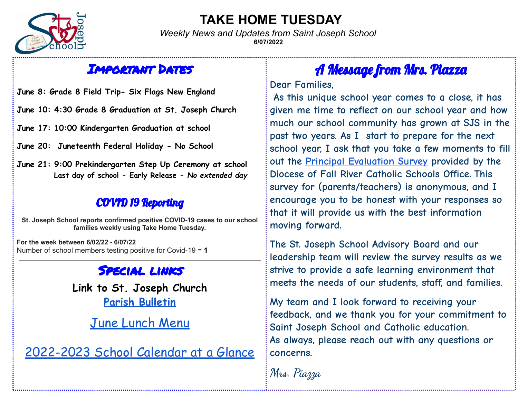

#### **TAKE HOME TUESDAY**

*Weekly News and Updates from Saint Joseph School* **6/07/2022**

#### Important Dates

**June 8: Grade 8 Field Trip- Six Flags New England**

**June 10: 4:30 Grade 8 Graduation at St. Joseph Church**

**June 17: 10:00 Kindergarten Graduation at school**

**June 20: Juneteenth Federal Holiday - No School**

**June 21: 9:00 Prekindergarten Step Up Ceremony at school Last day of school - Early Release -** *No extended day*

#### COVID 19 Reporting

**St. Joseph School reports confirmed positive COVID-19 cases to our school families weekly using Take Home Tuesday.**

**For the week between 6/02/22 - 6/07/22** Number of school members testing positive for Covid-19 = **1**

#### Special links

**Link to St. Joseph Church Parish [Bulletin](http://stjosephparishfairhaven.weebly.com/bulletin.html)**

June [Lunch](https://fairhavenps.nutrislice.com/menu/st-joes/lunch/2022-06-01) Menu

[2022-2023](https://www.saintjosephschool.org/wp-content/uploads/2022/06/22-23-sjs-calendar-at-a-glance.pdf) School Calendar at a Glance

## A Message from Mrs. Piazza

**Dear Families,**

**As this unique school year comes to a close, it has given me time to reflect on our school year and how much our school community has grown at SJS in the past two years. As I start to prepare for the next school year, I ask that you take a few moments to fill out the Principal [Evaluation](https://www.surveymonkey.com/r/PRINEVALPARENTS) Survey provided by the Diocese of Fall River Catholic Schools Office. This survey for (parents/teachers) is anonymous, and I encourage you to be honest with your responses so that it will provide us with the best information moving forward.**

**The St. Joseph School Advisory Board and our leadership team will review the survey results as we strive to provide a safe learning environment that meets the needs of our students, staff, and families.**

**My team and I look forward to receiving your feedback, and we thank you for your commitment to Saint Joseph School and Catholic education. As always, please reach out with any questions or concerns.**

**Mrs. Piazza**